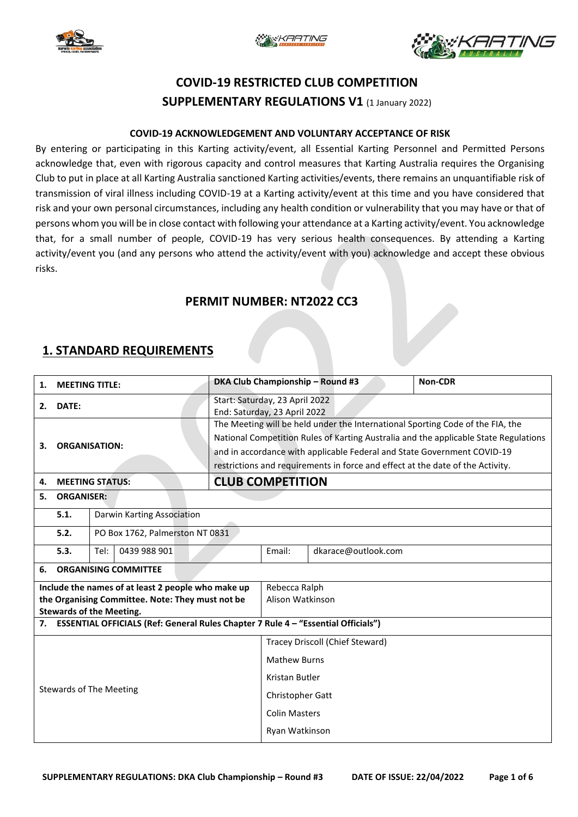





# **COVID-19 RESTRICTED CLUB COMPETITION SUPPLEMENTARY REGULATIONS V1** (1 January 2022)

#### **COVID-19 ACKNOWLEDGEMENT AND VOLUNTARY ACCEPTANCE OF RISK**

By entering or participating in this Karting activity/event, all Essential Karting Personnel and Permitted Persons acknowledge that, even with rigorous capacity and control measures that Karting Australia requires the Organising Club to put in place at all Karting Australia sanctioned Karting activities/events, there remains an unquantifiable risk of transmission of viral illness including COVID-19 at a Karting activity/event at this time and you have considered that risk and your own personal circumstances, including any health condition or vulnerability that you may have or that of persons whom you will be in close contact with following your attendance at a Karting activity/event. You acknowledge that, for a small number of people, COVID-19 has very serious health consequences. By attending a Karting activity/event you (and any persons who attend the activity/event with you) acknowledge and accept these obvious risks.

### **PERMIT NUMBER: NT2022 CC3**

### **1. STANDARD REQUIREMENTS**

| <b>MEETING TITLE:</b><br>1.                                                          |                                                            |                                 |                                                                                | DKA Club Championship - Round #3                                                     | Non-CDR             |  |  |  |
|--------------------------------------------------------------------------------------|------------------------------------------------------------|---------------------------------|--------------------------------------------------------------------------------|--------------------------------------------------------------------------------------|---------------------|--|--|--|
| DATE:<br>2.                                                                          |                                                            |                                 | Start: Saturday, 23 April 2022<br>End: Saturday, 23 April 2022                 |                                                                                      |                     |  |  |  |
|                                                                                      |                                                            |                                 | The Meeting will be held under the International Sporting Code of the FIA, the |                                                                                      |                     |  |  |  |
|                                                                                      |                                                            |                                 |                                                                                | National Competition Rules of Karting Australia and the applicable State Regulations |                     |  |  |  |
|                                                                                      | <b>ORGANISATION:</b><br>3.<br><b>MEETING STATUS:</b><br>4. |                                 |                                                                                | and in accordance with applicable Federal and State Government COVID-19              |                     |  |  |  |
|                                                                                      |                                                            |                                 |                                                                                | restrictions and requirements in force and effect at the date of the Activity.       |                     |  |  |  |
|                                                                                      |                                                            |                                 |                                                                                | <b>CLUB COMPETITION</b>                                                              |                     |  |  |  |
| 5.<br><b>ORGANISER:</b>                                                              |                                                            |                                 |                                                                                |                                                                                      |                     |  |  |  |
|                                                                                      | 5.1.                                                       | Darwin Karting Association      |                                                                                |                                                                                      |                     |  |  |  |
|                                                                                      | 5.2.                                                       | PO Box 1762, Palmerston NT 0831 |                                                                                |                                                                                      |                     |  |  |  |
|                                                                                      | 5.3.                                                       | Tel:<br>0439 988 901            |                                                                                | Email:                                                                               | dkarace@outlook.com |  |  |  |
| 6.                                                                                   | <b>ORGANISING COMMITTEE</b>                                |                                 |                                                                                |                                                                                      |                     |  |  |  |
| Include the names of at least 2 people who make up                                   |                                                            |                                 |                                                                                | Rebecca Ralph                                                                        |                     |  |  |  |
| the Organising Committee. Note: They must not be                                     |                                                            |                                 | Alison Watkinson                                                               |                                                                                      |                     |  |  |  |
| <b>Stewards of the Meeting.</b>                                                      |                                                            |                                 |                                                                                |                                                                                      |                     |  |  |  |
| 7. ESSENTIAL OFFICIALS (Ref: General Rules Chapter 7 Rule 4 - "Essential Officials") |                                                            |                                 |                                                                                |                                                                                      |                     |  |  |  |
| <b>Stewards of The Meeting</b>                                                       |                                                            |                                 |                                                                                | Tracey Driscoll (Chief Steward)                                                      |                     |  |  |  |
|                                                                                      |                                                            |                                 | <b>Mathew Burns</b>                                                            |                                                                                      |                     |  |  |  |
|                                                                                      |                                                            |                                 | Kristan Butler                                                                 |                                                                                      |                     |  |  |  |
|                                                                                      |                                                            |                                 | Christopher Gatt                                                               |                                                                                      |                     |  |  |  |
|                                                                                      |                                                            |                                 | <b>Colin Masters</b>                                                           |                                                                                      |                     |  |  |  |
|                                                                                      |                                                            |                                 | Ryan Watkinson                                                                 |                                                                                      |                     |  |  |  |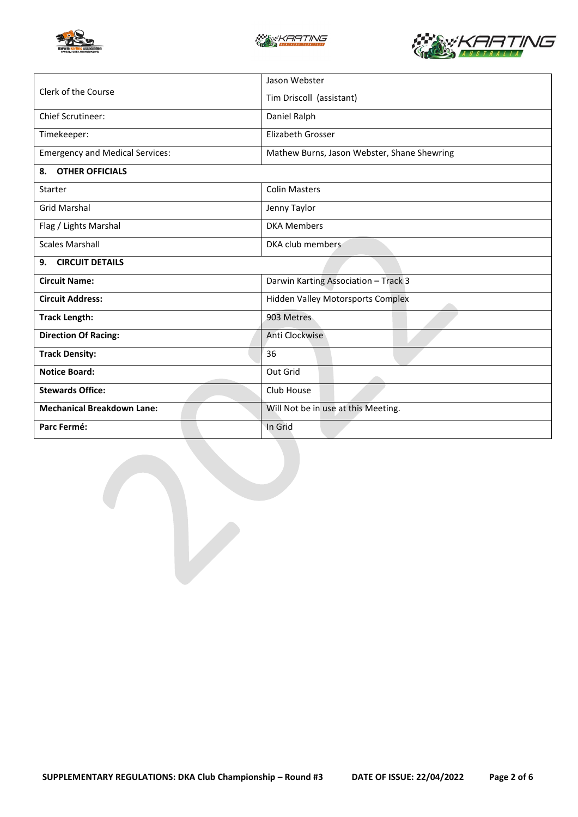





|                                        | Jason Webster                               |  |  |
|----------------------------------------|---------------------------------------------|--|--|
| Clerk of the Course                    | Tim Driscoll (assistant)                    |  |  |
| <b>Chief Scrutineer:</b>               | Daniel Ralph                                |  |  |
| Timekeeper:                            | Elizabeth Grosser                           |  |  |
| <b>Emergency and Medical Services:</b> | Mathew Burns, Jason Webster, Shane Shewring |  |  |
| <b>OTHER OFFICIALS</b><br>8.           |                                             |  |  |
| <b>Starter</b>                         | <b>Colin Masters</b>                        |  |  |
| <b>Grid Marshal</b>                    | Jenny Taylor                                |  |  |
| Flag / Lights Marshal                  | <b>DKA Members</b>                          |  |  |
| <b>Scales Marshall</b>                 | DKA club members                            |  |  |
| <b>CIRCUIT DETAILS</b><br>9.           |                                             |  |  |
| <b>Circuit Name:</b>                   | Darwin Karting Association - Track 3        |  |  |
| <b>Circuit Address:</b>                | <b>Hidden Valley Motorsports Complex</b>    |  |  |
| <b>Track Length:</b>                   | 903 Metres                                  |  |  |
| <b>Direction Of Racing:</b>            | Anti Clockwise                              |  |  |
| <b>Track Density:</b>                  | 36                                          |  |  |
| <b>Notice Board:</b>                   | Out Grid                                    |  |  |
| <b>Stewards Office:</b>                | Club House                                  |  |  |
| <b>Mechanical Breakdown Lane:</b>      | Will Not be in use at this Meeting.         |  |  |
| Parc Fermé:                            | In Grid                                     |  |  |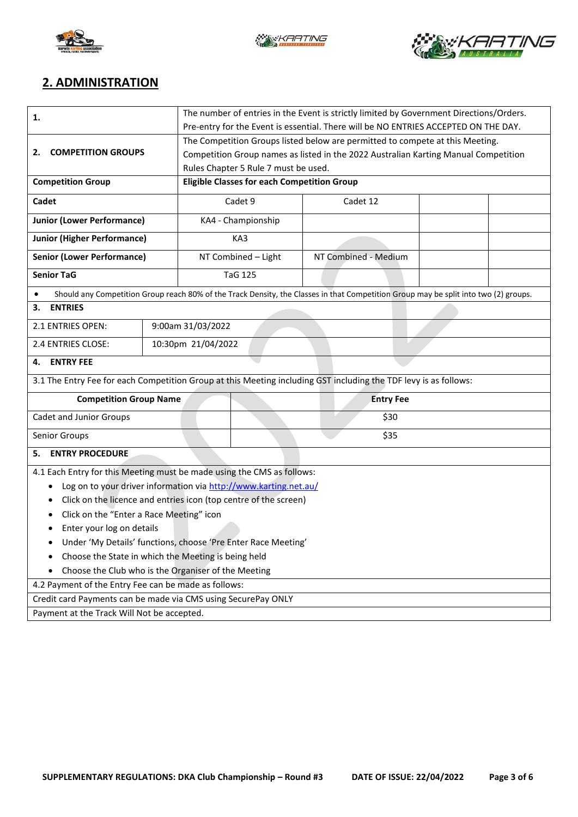





## **2. ADMINISTRATION**

| 1.                                                                                                               | The number of entries in the Event is strictly limited by Government Directions/Orders. |                     |                                                                                     |                                                                                                                                      |  |  |
|------------------------------------------------------------------------------------------------------------------|-----------------------------------------------------------------------------------------|---------------------|-------------------------------------------------------------------------------------|--------------------------------------------------------------------------------------------------------------------------------------|--|--|
|                                                                                                                  | Pre-entry for the Event is essential. There will be NO ENTRIES ACCEPTED ON THE DAY.     |                     |                                                                                     |                                                                                                                                      |  |  |
|                                                                                                                  | The Competition Groups listed below are permitted to compete at this Meeting.           |                     |                                                                                     |                                                                                                                                      |  |  |
| <b>COMPETITION GROUPS</b><br>2.                                                                                  |                                                                                         |                     | Competition Group names as listed in the 2022 Australian Karting Manual Competition |                                                                                                                                      |  |  |
|                                                                                                                  |                                                                                         |                     | Rules Chapter 5 Rule 7 must be used.                                                |                                                                                                                                      |  |  |
| <b>Competition Group</b>                                                                                         |                                                                                         |                     | <b>Eligible Classes for each Competition Group</b>                                  |                                                                                                                                      |  |  |
| Cadet                                                                                                            |                                                                                         | Cadet 9             |                                                                                     | Cadet 12                                                                                                                             |  |  |
| <b>Junior (Lower Performance)</b>                                                                                |                                                                                         | KA4 - Championship  |                                                                                     |                                                                                                                                      |  |  |
| <b>Junior (Higher Performance)</b>                                                                               |                                                                                         | KA3                 |                                                                                     |                                                                                                                                      |  |  |
| <b>Senior (Lower Performance)</b>                                                                                |                                                                                         | NT Combined - Light |                                                                                     | NT Combined - Medium                                                                                                                 |  |  |
| <b>Senior TaG</b>                                                                                                |                                                                                         |                     | <b>TaG 125</b>                                                                      |                                                                                                                                      |  |  |
|                                                                                                                  |                                                                                         |                     |                                                                                     | Should any Competition Group reach 80% of the Track Density, the Classes in that Competition Group may be split into two (2) groups. |  |  |
| <b>ENTRIES</b><br>3.                                                                                             |                                                                                         |                     |                                                                                     |                                                                                                                                      |  |  |
| <b>2.1 ENTRIES OPEN:</b>                                                                                         |                                                                                         | 9:00am 31/03/2022   |                                                                                     |                                                                                                                                      |  |  |
| 2.4 ENTRIES CLOSE:                                                                                               |                                                                                         | 10:30pm 21/04/2022  |                                                                                     |                                                                                                                                      |  |  |
| <b>ENTRY FEE</b><br>4.                                                                                           |                                                                                         |                     |                                                                                     |                                                                                                                                      |  |  |
| 3.1 The Entry Fee for each Competition Group at this Meeting including GST including the TDF levy is as follows: |                                                                                         |                     |                                                                                     |                                                                                                                                      |  |  |
| <b>Competition Group Name</b>                                                                                    |                                                                                         | <b>Entry Fee</b>    |                                                                                     |                                                                                                                                      |  |  |
| Cadet and Junior Groups                                                                                          | \$30                                                                                    |                     |                                                                                     |                                                                                                                                      |  |  |
| Senior Groups                                                                                                    | \$35                                                                                    |                     |                                                                                     |                                                                                                                                      |  |  |
| <b>ENTRY PROCEDURE</b><br>5.                                                                                     |                                                                                         |                     |                                                                                     |                                                                                                                                      |  |  |
|                                                                                                                  | 4.1 Each Entry for this Meeting must be made using the CMS as follows:                  |                     |                                                                                     |                                                                                                                                      |  |  |
| Log on to your driver information via http://www.karting.net.au/<br>٠                                            |                                                                                         |                     |                                                                                     |                                                                                                                                      |  |  |
| Click on the licence and entries icon (top centre of the screen)<br>٠                                            |                                                                                         |                     |                                                                                     |                                                                                                                                      |  |  |
| Click on the "Enter a Race Meeting" icon<br>٠                                                                    |                                                                                         |                     |                                                                                     |                                                                                                                                      |  |  |
| Enter your log on details                                                                                        |                                                                                         |                     |                                                                                     |                                                                                                                                      |  |  |
| Under 'My Details' functions, choose 'Pre Enter Race Meeting'                                                    |                                                                                         |                     |                                                                                     |                                                                                                                                      |  |  |
| Choose the State in which the Meeting is being held<br>٠                                                         |                                                                                         |                     |                                                                                     |                                                                                                                                      |  |  |
| Choose the Club who is the Organiser of the Meeting                                                              |                                                                                         |                     |                                                                                     |                                                                                                                                      |  |  |
| 4.2 Payment of the Entry Fee can be made as follows:                                                             |                                                                                         |                     |                                                                                     |                                                                                                                                      |  |  |
| Credit card Payments can be made via CMS using SecurePay ONLY                                                    |                                                                                         |                     |                                                                                     |                                                                                                                                      |  |  |
| Payment at the Track Will Not be accepted.                                                                       |                                                                                         |                     |                                                                                     |                                                                                                                                      |  |  |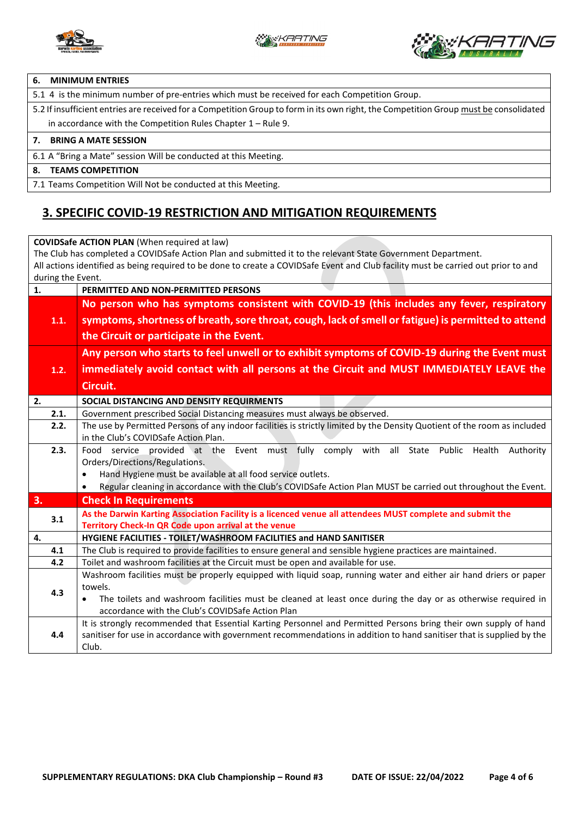



#### **6. MINIMUM ENTRIES**

5.1 4 is the minimum number of pre-entries which must be received for each Competition Group.

5.2 If insufficient entries are received for a Competition Group to form in its own right, the Competition Group must be consolidated in accordance with the Competition Rules Chapter 1 – Rule 9.

#### **7. BRING A MATE SESSION**

6.1 A "Bring a Mate" session Will be conducted at this Meeting.

#### **8. TEAMS COMPETITION**

7.1 Teams Competition Will Not be conducted at this Meeting.

### **3. SPECIFIC COVID-19 RESTRICTION AND MITIGATION REQUIREMENTS**

**COVIDSafe ACTION PLAN** (When required at law) The Club has completed a COVIDSafe Action Plan and submitted it to the relevant State Government Department. All actions identified as being required to be done to create a COVIDSafe Event and Club facility must be carried out prior to and during the Event. **1. PERMITTED AND NON-PERMITTED PERSONS 1.1. No person who has symptoms consistent with COVID-19 (this includes any fever, respiratory symptoms, shortness of breath, sore throat, cough, lack of smell or fatigue) is permitted to attend the Circuit or participate in the Event. 1.2. Any person who starts to feel unwell or to exhibit symptoms of COVID-19 during the Event must immediately avoid contact with all persons at the Circuit and MUST IMMEDIATELY LEAVE the Circuit. 2. SOCIAL DISTANCING AND DENSITY REQUIRMENTS**  2.1. Government prescribed Social Distancing measures must always be observed. **2.2.** The use by Permitted Persons of any indoor facilities is strictly limited by the Density Quotient of the room as included in the Club's COVIDSafe Action Plan. **2.3.** Food service provided at the Event must fully comply with all State Public Health Authority Orders/Directions/Regulations. • Hand Hygiene must be available at all food service outlets. • Regular cleaning in accordance with the Club's COVIDSafe Action Plan MUST be carried out throughout the Event. **3. Check In Requirements 3.1 As the Darwin Karting Association Facility is a licenced venue all attendees MUST complete and submit the Territory Check-In QR Code upon arrival at the venue 4. HYGIENE FACILITIES - TOILET/WASHROOM FACILITIES and HAND SANITISER 4.1** The Club is required to provide facilities to ensure general and sensible hygiene practices are maintained. **4.2** Toilet and washroom facilities at the Circuit must be open and available for use. **4.3** Washroom facilities must be properly equipped with liquid soap, running water and either air hand driers or paper towels. • The toilets and washroom facilities must be cleaned at least once during the day or as otherwise required in accordance with the Club's COVIDSafe Action Plan **4.4** It is strongly recommended that Essential Karting Personnel and Permitted Persons bring their own supply of hand sanitiser for use in accordance with government recommendations in addition to hand sanitiser that is supplied by the Club.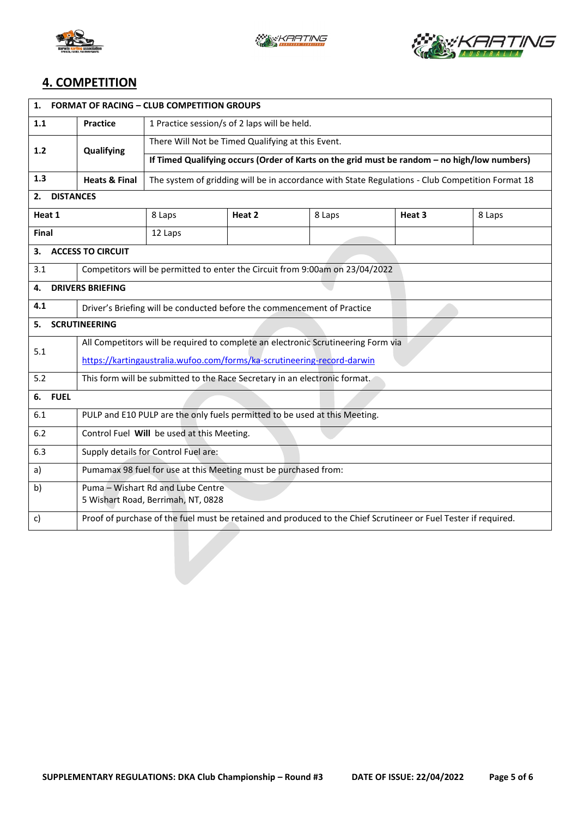





## **4. COMPETITION**

| <b>FORMAT OF RACING - CLUB COMPETITION GROUPS</b><br>1. |                                                                                                                 |                                                                                                  |        |        |        |        |  |  |
|---------------------------------------------------------|-----------------------------------------------------------------------------------------------------------------|--------------------------------------------------------------------------------------------------|--------|--------|--------|--------|--|--|
| 1.1                                                     | <b>Practice</b>                                                                                                 | 1 Practice session/s of 2 laps will be held.                                                     |        |        |        |        |  |  |
| $1.2$                                                   | Qualifying                                                                                                      | There Will Not be Timed Qualifying at this Event.                                                |        |        |        |        |  |  |
|                                                         |                                                                                                                 | If Timed Qualifying occurs (Order of Karts on the grid must be random - no high/low numbers)     |        |        |        |        |  |  |
| 1.3                                                     | <b>Heats &amp; Final</b>                                                                                        | The system of gridding will be in accordance with State Regulations - Club Competition Format 18 |        |        |        |        |  |  |
| <b>DISTANCES</b><br>2.                                  |                                                                                                                 |                                                                                                  |        |        |        |        |  |  |
| Heat 1                                                  |                                                                                                                 | 8 Laps                                                                                           | Heat 2 | 8 Laps | Heat 3 | 8 Laps |  |  |
| Final                                                   |                                                                                                                 | 12 Laps                                                                                          |        |        |        |        |  |  |
| <b>ACCESS TO CIRCUIT</b><br>З.                          |                                                                                                                 |                                                                                                  |        |        |        |        |  |  |
| 3.1                                                     |                                                                                                                 | Competitors will be permitted to enter the Circuit from 9:00am on 23/04/2022                     |        |        |        |        |  |  |
| <b>DRIVERS BRIEFING</b><br>4.                           |                                                                                                                 |                                                                                                  |        |        |        |        |  |  |
| 4.1                                                     | Driver's Briefing will be conducted before the commencement of Practice                                         |                                                                                                  |        |        |        |        |  |  |
| <b>SCRUTINEERING</b><br>5.                              |                                                                                                                 |                                                                                                  |        |        |        |        |  |  |
| 5.1                                                     | All Competitors will be required to complete an electronic Scrutineering Form via                               |                                                                                                  |        |        |        |        |  |  |
|                                                         | https://kartingaustralia.wufoo.com/forms/ka-scrutineering-record-darwin                                         |                                                                                                  |        |        |        |        |  |  |
| 5.2                                                     | This form will be submitted to the Race Secretary in an electronic format.                                      |                                                                                                  |        |        |        |        |  |  |
| <b>FUEL</b><br>6.                                       |                                                                                                                 |                                                                                                  |        |        |        |        |  |  |
| 6.1                                                     | PULP and E10 PULP are the only fuels permitted to be used at this Meeting.                                      |                                                                                                  |        |        |        |        |  |  |
| 6.2                                                     | Control Fuel Will be used at this Meeting.                                                                      |                                                                                                  |        |        |        |        |  |  |
| 6.3                                                     | Supply details for Control Fuel are:                                                                            |                                                                                                  |        |        |        |        |  |  |
| a)                                                      | Pumamax 98 fuel for use at this Meeting must be purchased from:                                                 |                                                                                                  |        |        |        |        |  |  |
| b)                                                      |                                                                                                                 | Puma - Wishart Rd and Lube Centre                                                                |        |        |        |        |  |  |
|                                                         | 5 Wishart Road, Berrimah, NT, 0828                                                                              |                                                                                                  |        |        |        |        |  |  |
| C)                                                      | Proof of purchase of the fuel must be retained and produced to the Chief Scrutineer or Fuel Tester if required. |                                                                                                  |        |        |        |        |  |  |